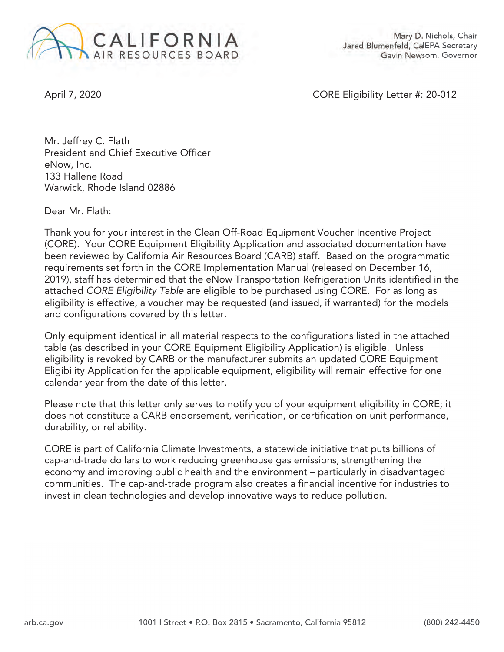

Mary D. Nichols, Chair Jared Blumenfeld, CalEPA Secretary Gavin Newsom, Governor

April 7, 2020 CORE Eligibility Letter #: 20-012

Mr. Jeffrey C. Flath President and Chief Executive Officer eNow, Inc. 133 Hallene Road Warwick, Rhode Island 02886

Dear Mr. Flath:

Thank you for your interest in the Clean Off-Road Equipment Voucher Incentive Project (CORE). Your CORE Equipment Eligibility Application and associated documentation have been reviewed by California Air Resources Board (CARB) staff. Based on the programmatic requirements set forth in the CORE Implementation Manual (released on December 16, 2019), staff has determined that the eNow Transportation Refrigeration Units identified in the attached CORE Eligibility Table are eligible to be purchased using CORE. For as long as eligibility is effective, a voucher may be requested (and issued, if warranted) for the models and configurations covered by this letter.

Only equipment identical in all material respects to the configurations listed in the attached table (as described in your CORE Equipment Eligibility Application) is eligible. Unless eligibility is revoked by CARB or the manufacturer submits an updated CORE Equipment Eligibility Application for the applicable equipment, eligibility will remain effective for one calendar year from the date of this letter.

Please note that this letter only serves to notify you of your equipment eligibility in CORE; it does not constitute a CARB endorsement, verification, or certification on unit performance, durability, or reliability.

CORE is part of California Climate Investments, a statewide initiative that puts billions of cap-and-trade dollars to work reducing greenhouse gas emissions, strengthening the economy and improving public health and the environment – particularly in disadvantaged communities. The cap-and-trade program also creates a financial incentive for industries to invest in clean technologies and develop innovative ways to reduce pollution.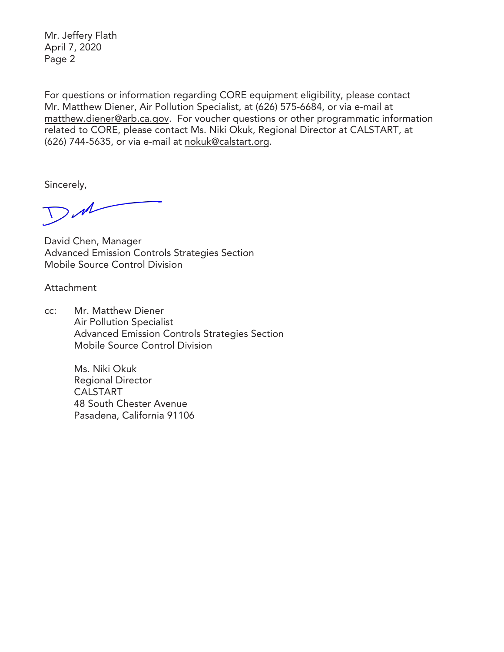Mr. Jeffery Flath April 7, 2020 Page 2

For questions or information regarding CORE equipment eligibility, please contact Mr. Matthew Diener, Air Pollution Specialist, at (626) 575-6684, or via e-mail at matthew.diener@arb.ca.gov. For voucher questions or other programmatic information related to CORE, please contact Ms. Niki Okuk, Regional Director at CALSTART, at (626) 744-5635, or via e-mail at nokuk@calstart.org.

Sincerely,

DM

David Chen, Manager Advanced Emission Controls Strategies Section Mobile Source Control Division

Attachment

cc: Mr. Matthew Diener Air Pollution Specialist Advanced Emission Controls Strategies Section Mobile Source Control Division

> Ms. Niki Okuk Regional Director CALSTART 48 South Chester Avenue Pasadena, California 91106